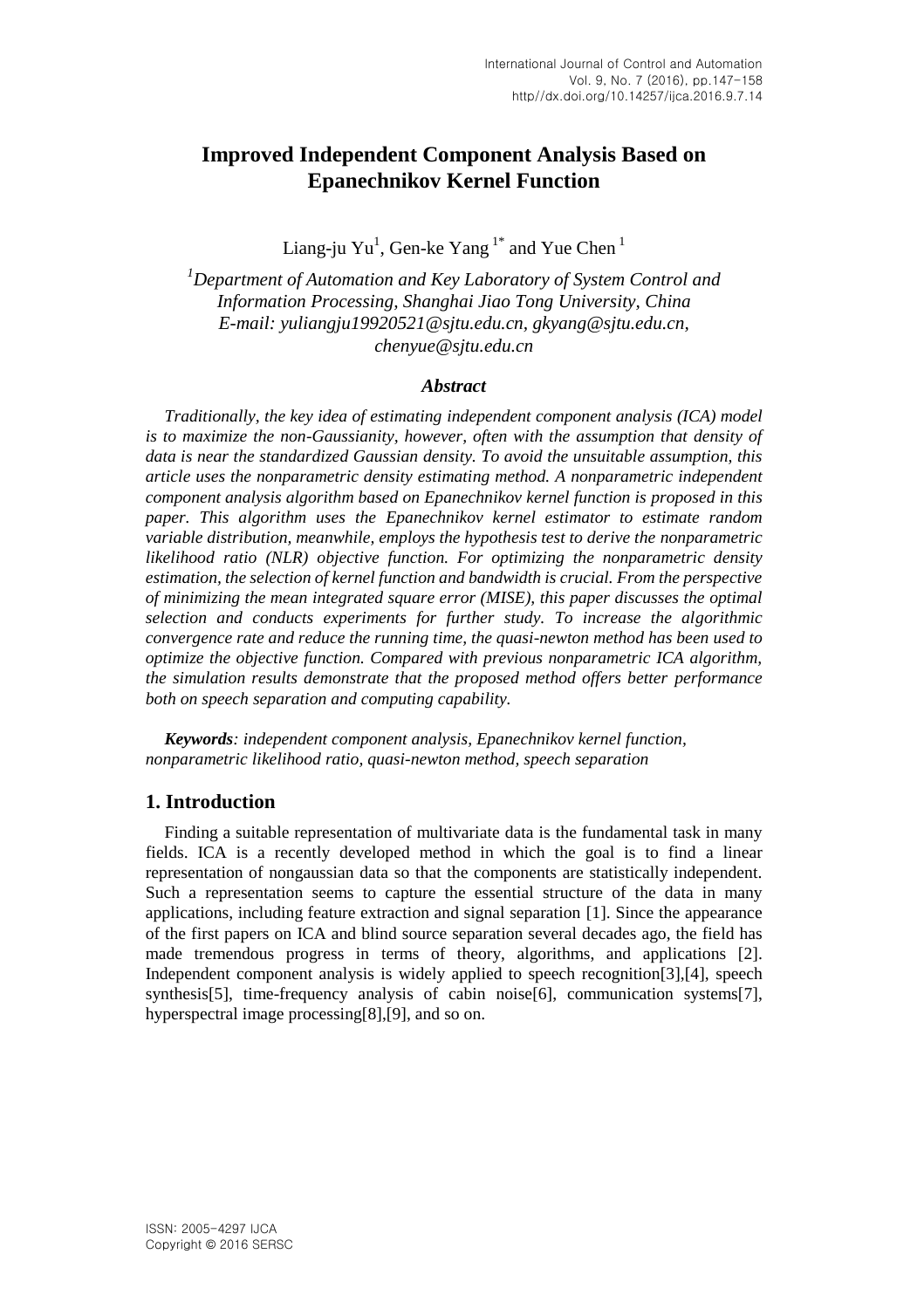# **Improved Independent Component Analysis Based on Epanechnikov Kernel Function**

Liang-ju  $Yu^1$ , Gen-ke  $Yang^{1*}$  and Yue Chen  $^1$ 

*<sup>1</sup>Department of Automation and Key Laboratory of System Control and Information Processing, Shanghai Jiao Tong University, China E-mail: yuliangju19920521@sjtu.edu.cn, gkyang@sjtu.edu.cn, chenyue@sjtu.edu.cn*

#### *Abstract*

*Traditionally, the key idea of estimating independent component analysis (ICA) model is to maximize the non-Gaussianity, however, often with the assumption that density of data is near the standardized Gaussian density. To avoid the unsuitable assumption, this article uses the nonparametric density estimating method. A nonparametric independent component analysis algorithm based on Epanechnikov kernel function is proposed in this paper. This algorithm uses the Epanechnikov kernel estimator to estimate random variable distribution, meanwhile, employs the hypothesis test to derive the nonparametric likelihood ratio (NLR) objective function. For optimizing the nonparametric density estimation, the selection of kernel function and bandwidth is crucial. From the perspective of minimizing the mean integrated square error (MISE), this paper discusses the optimal selection and conducts experiments for further study. To increase the algorithmic convergence rate and reduce the running time, the quasi-newton method has been used to optimize the objective function. Compared with previous nonparametric ICA algorithm, the simulation results demonstrate that the proposed method offers better performance both on speech separation and computing capability.*

*Keywords: independent component analysis, Epanechnikov kernel function, nonparametric likelihood ratio, quasi-newton method, speech separation*

### **1. Introduction**

Finding a suitable representation of multivariate data is the fundamental task in many fields. ICA is a recently developed method in which the goal is to find a linear representation of nongaussian data so that the components are statistically independent. Such a representation seems to capture the essential structure of the data in many applications, including feature extraction and signal separation [\[1\].](#page-9-0) Since the appearance of the first papers on ICA and blind source separation several decades ago, the field has made tremendous progress in terms of theory, algorithms, and applications [\[2\].](#page-9-1) Independent component analysis is widely applied to speech recognitio[n\[3\],](#page-9-2)[\[4\],](#page-9-3) speech synthesi[s\[5\],](#page-9-4) time-frequency analysis of cabin nois[e\[6\],](#page-9-5) communication system[s\[7\],](#page-9-6) hyperspectral image processin[g\[8\]](#page-9-7)[,\[9\],](#page-9-8) and so on.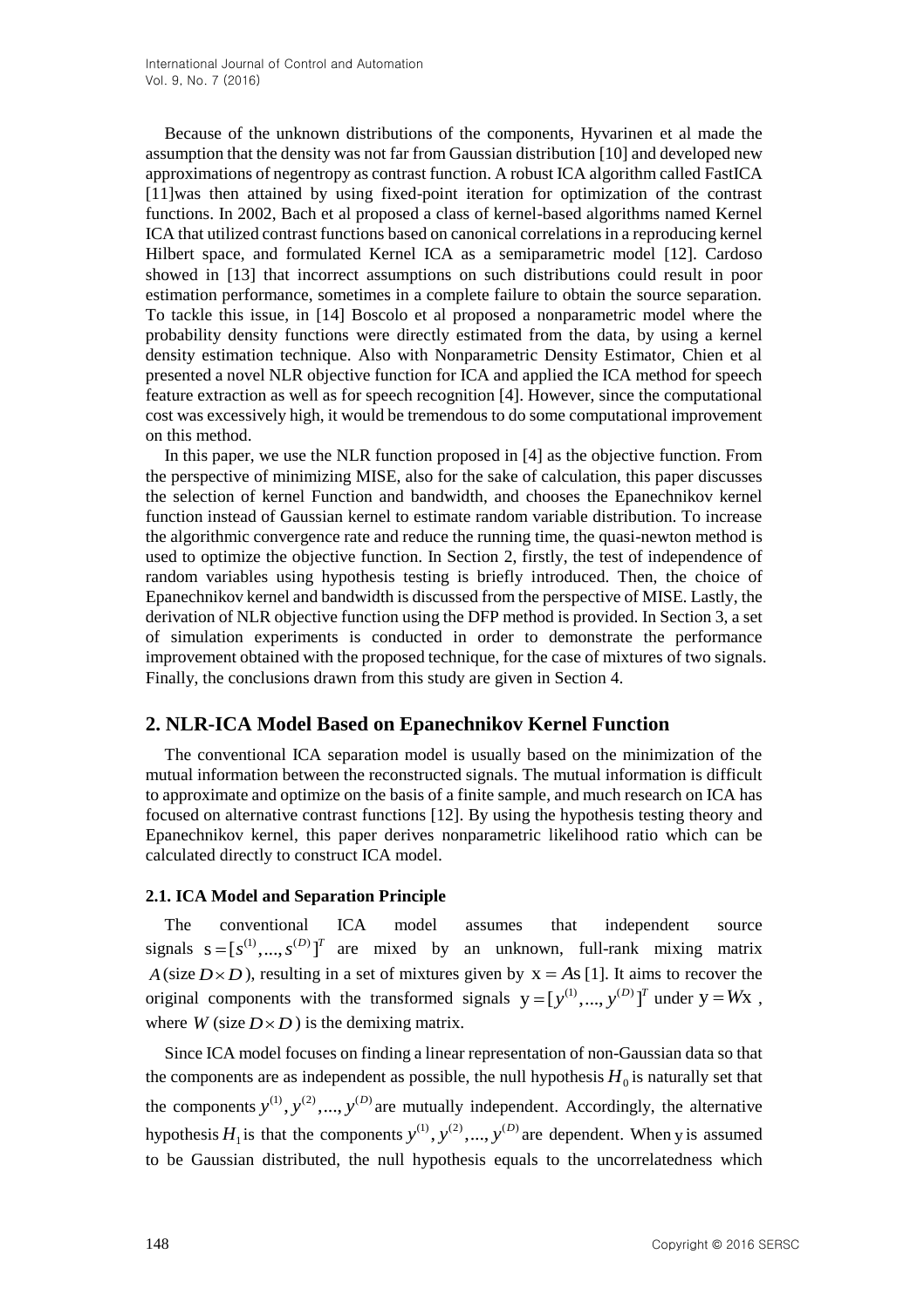Because of the unknown distributions of the components, Hyvarinen et al made the assumption that the density was not far from Gaussian distribution [\[10\]](#page-9-9) and developed new approximations of negentropy as contrast function. A robust ICA algorithm called FastICA [\[11\]w](#page-9-10)as then attained by using fixed-point iteration for optimization of the contrast functions. In 2002, Bach et al proposed a class of kernel-based algorithms named Kernel ICA that utilized contrast functions based on canonical correlations in a reproducing kernel Hilbert space, and formulated Kernel ICA as a semiparametric model [\[12\].](#page-9-11) Cardoso showed in [\[13\]](#page-9-12) that incorrect assumptions on such distributions could result in poor estimation performance, sometimes in a complete failure to obtain the source separation. To tackle this issue, in [\[14\]](#page-9-13) Boscolo et al proposed a nonparametric model where the probability density functions were directly estimated from the data, by using a kernel density estimation technique. Also with Nonparametric Density Estimator, Chien et al presented a novel NLR objective function for ICA and applied the ICA method for speech feature extraction as well as for speech recognition [\[4\].](#page-9-3) However, since the computational cost was excessively high, it would be tremendous to do some computational improvement on this method.

In this paper, we use the NLR function proposed in [\[4\]](#page-9-3) as the objective function. From the perspective of minimizing MISE, also for the sake of calculation, this paper discusses the selection of kernel Function and bandwidth, and chooses the Epanechnikov kernel function instead of Gaussian kernel to estimate random variable distribution. To increase the algorithmic convergence rate and reduce the running time, the quasi-newton method is used to optimize the objective function. In Section 2, firstly, the test of independence of random variables using hypothesis testing is briefly introduced. Then, the choice of Epanechnikov kernel and bandwidth is discussed from the perspective of MISE. Lastly, the derivation of NLR objective function using the DFP method is provided. In Section 3, a set of simulation experiments is conducted in order to demonstrate the performance improvement obtained with the proposed technique, for the case of mixtures of two signals. Finally, the conclusions drawn from this study are given in Section 4.

## **2. NLR-ICA Model Based on Epanechnikov Kernel Function**

The conventional ICA separation model is usually based on the minimization of the mutual information between the reconstructed signals. The mutual information is difficult to approximate and optimize on the basis of a finite sample, and much research on ICA has focused on alternative contrast functions [\[12\].](#page-9-11) By using the hypothesis testing theory and Epanechnikov kernel, this paper derives nonparametric likelihood ratio which can be calculated directly to construct ICA model.

### **2.1. ICA Model and Separation Principle**

The conventional ICA model assumes that independent source signals  $s = [s^{(1)}, ..., s^{(D)}]^T$  are mixed by an unknown, full-rank mixing matrix *A* (size  $D \times D$ ), resulting in a set of mixtures given by  $x = As$  [\[1\].](#page-9-0) It aims to recover the original components with the transformed signals  $y = [y^{(1)}, ..., y^{(D)}]^T$  under  $y = Wx$ , where  $W$  (size  $D \times D$ ) is the demixing matrix.

Since ICA model focuses on finding a linear representation of non-Gaussian data so that the components are as independent as possible, the null hypothesis  $H_0$  is naturally set that the components  $y^{(1)}$ ,  $y^{(2)}$ ,...,  $y^{(D)}$  are mutually independent. Accordingly, the alternative hypothesis  $H_1$  is that the components  $y^{(1)}$ ,  $y^{(2)}$ , ...,  $y^{(D)}$  are dependent. When y is assumed to be Gaussian distributed, the null hypothesis equals to the uncorrelatedness which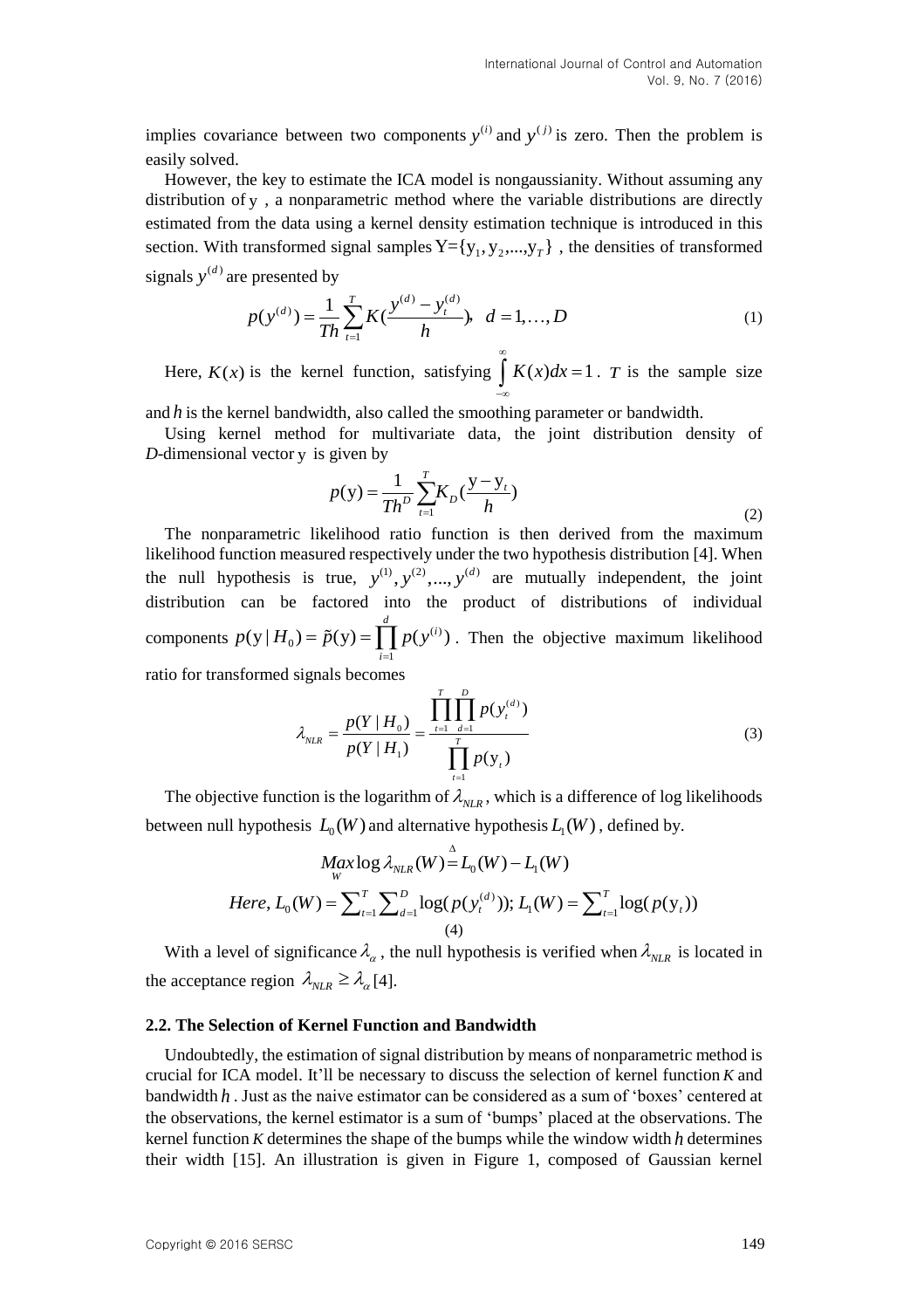implies covariance between two components  $y^{(i)}$  and  $y^{(j)}$  is zero. Then the problem is easily solved.

However, the key to estimate the ICA model is nongaussianity. Without assuming any distribution of y , a nonparametric method where the variable distributions are directly estimated from the data using a kernel density estimation technique is introduced in this section. With transformed signal samples  $Y = \{y_1, y_2, ..., y_T\}$ , the densities of transformed signals  $y^{(d)}$  are presented by

presented by  
\n
$$
p(y^{(d)}) = \frac{1}{Th} \sum_{t=1}^{T} K(\frac{y^{(d)} - y_t^{(d)}}{h}), \quad d = 1,...,D
$$
\n(1)

Here,  $K(x)$  is the kernel function, satisfying  $K(x)dx = 1$  $\infty$  $\int_{-\infty}^{x} K(x)dx = 1$ . *T* is the sample size

and *h* is the kernel bandwidth, also called the smoothing parameter or bandwidth.

Using kernel method for multivariate data, the joint distribution density of D-dimensional vector y is given by

$$
p(y) = \frac{1}{Th^D} \sum_{t=1}^{T} K_D(\frac{y - y_t}{h})
$$
\n(2)

The nonparametric likelihood ratio function is then derived from the maximum likelihood function measured respectively under the two hypothesis distribution [\[4\].](#page-9-3) When the null hypothesis is true,  $y^{(1)}$ ,  $y^{(2)}$ ,...,  $y^{(d)}$  are mutually independent, the joint distribution can be factored into the product of distributions of individual components  $p(y | H_0) = \tilde{p}(y) = \prod^d p(y^{(i)})$ 1  $(y | H_0) = \tilde{p}(y) = \prod^d p(y^{(i)})$ *i*  $p(y | H_0) = \tilde{p}(y) = \prod_{i=1}^{d} p(y^{(i)})$ . Then the objective maximum likelihood ratio for transformed signals becomes

signals becomes  
\n
$$
\lambda_{NLR} = \frac{p(Y | H_0)}{p(Y | H_1)} = \frac{\prod_{t=1}^{T} \prod_{d=1}^{D} p(y_t^{(d)})}{\prod_{t=1}^{T} p(y_t)}
$$
\n(3)

The objective function is the logarithm of  $\lambda_{NLR}$ , which is a difference of log likelihoods

between null hypothesis 
$$
L_0(W)
$$
 and alternative hypothesis  $L_1(W)$ , defined by.  
\n
$$
Max \log \lambda_{NLR}(W) = L_0(W) - L_1(W)
$$
\nHere,  $L_0(W) = \sum_{t=1}^{T} \sum_{d=1}^{D} \log(p(y_t^{(d)})); L_1(W) = \sum_{t=1}^{T} \log(p(y_t))$ \n(4)

With a level of significance  $\lambda_{\alpha}$ , the null hypothesis is verified when  $\lambda_{NLR}$  is located in the acceptance region  $\lambda_{NLR} \geq \lambda_{\alpha}$  [\[4\].](#page-9-3)

#### **2.2. The Selection of Kernel Function and Bandwidth**

Undoubtedly, the estimation of signal distribution by means of nonparametric method is crucial for ICA model. It"ll be necessary to discuss the selection of kernel function *K* and bandwidth h. Just as the naive estimator can be considered as a sum of 'boxes' centered at the observations, the kernel estimator is a sum of "bumps" placed at the observations. The kernel function  $K$  determines the shape of the bumps while the window width  $h$  determines their width [\[15\].](#page-9-14) An illustration is given in Figure 1, composed of Gaussian kernel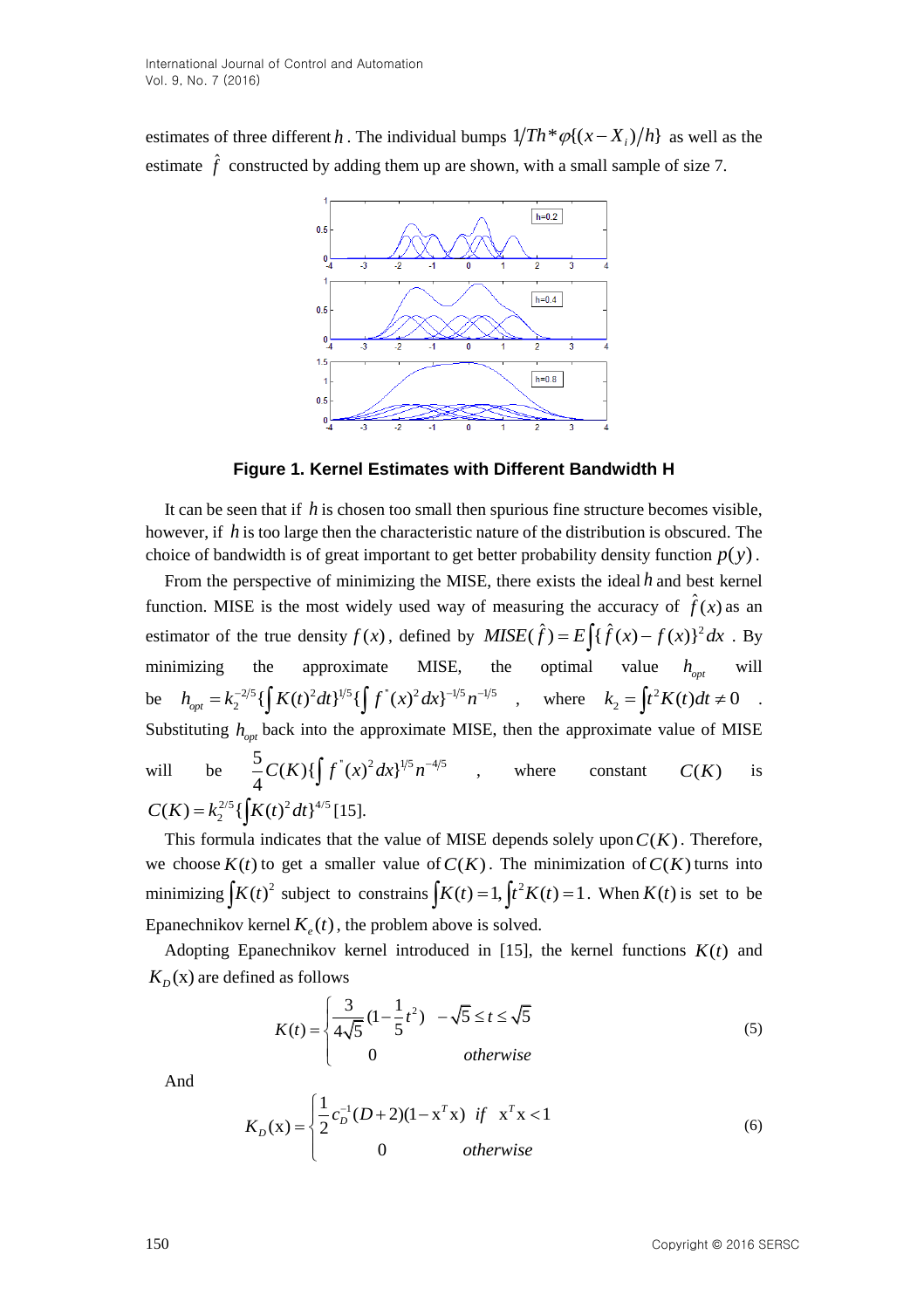estimates of three different h. The individual bumps  $1/Th * \varphi\{(x - X_i)/h\}$  as well as the estimate  $\hat{f}$  constructed by adding them up are shown, with a small sample of size 7.



**Figure 1. Kernel Estimates with Different Bandwidth H**

It can be seen that if  $h$  is chosen too small then spurious fine structure becomes visible, however, if *h* is too large then the characteristic nature of the distribution is obscured. The choice of bandwidth is of great important to get better probability density function  $p(y)$ .

From the perspective of minimizing the MISE, there exists the ideal *h* and best kernel function. MISE is the most widely used way of measuring the accuracy of  $\hat{f}(x)$  as an function. MISE is the most widely used way of measuring the accuracy of  $f(x)$  as an estimator of the true density  $f(x)$ , defined by  $MISE(\hat{f}) = E \int {\{\hat{f}(x) - f(x)\}^2} dx$ . By minimizing the approximate MISE, the optimal value  $h_{opt}$ will minimizing the approximate MISE, the<br>
be  $h_{opt} = k_2^{-2/5} \{ \int K(t)^2 dt \}^{1/5} \{ \int f''(x)^2 dx \}^{-1/5} n^{-1/5}$ where  $k_2 = \int_0^2 t^2 dt$  $k_2 = \int t^2 K(t) dt \neq 0$ . Substituting  $h_{opt}$  back into the approximate MISE, then the approximate value of MISE will  $\frac{5}{4}C(K){\int \int f^{(0)}(x)^{2}dx}^{1/5}n^{-4/5}$ , where constant  $C(K)$ is  $C(K) = k_2^{2/5} \left\{ \int K(t)^2 dt \right\}^{4/5}$  [\[15\].](#page-9-14)

This formula indicates that the value of MISE depends solely upon  $C(K)$ . Therefore, we choose  $K(t)$  to get a smaller value of  $C(K)$ . The minimization of  $C(K)$  turns into minimizing  $\int K(t)^2$  subject to constrains  $\int K(t) = 1$ ,  $\int t^2 K(t) = 1$ . When  $K(t)$  is set to be Epanechnikov kernel  $K_e(t)$ , the problem above is solved.

Adopting Epanechnikov kernel introduced in  $[15]$ , the kernel functions  $K(t)$  and  $K_D(x)$  are defined as follows

as follows  
\n
$$
K(t) = \begin{cases}\n\frac{3}{4\sqrt{5}}\left(1 - \frac{1}{5}t^2\right) & -\sqrt{5} \le t \le \sqrt{5} \\
0 & \text{otherwise}\n\end{cases}
$$
\n(5)

And

$$
K_D(x) = \begin{cases} \frac{1}{2}c_D^{-1}(D+2)(1-x^Tx) & \text{if } x^Tx < 1\\ 0 & \text{otherwise} \end{cases}
$$
(6)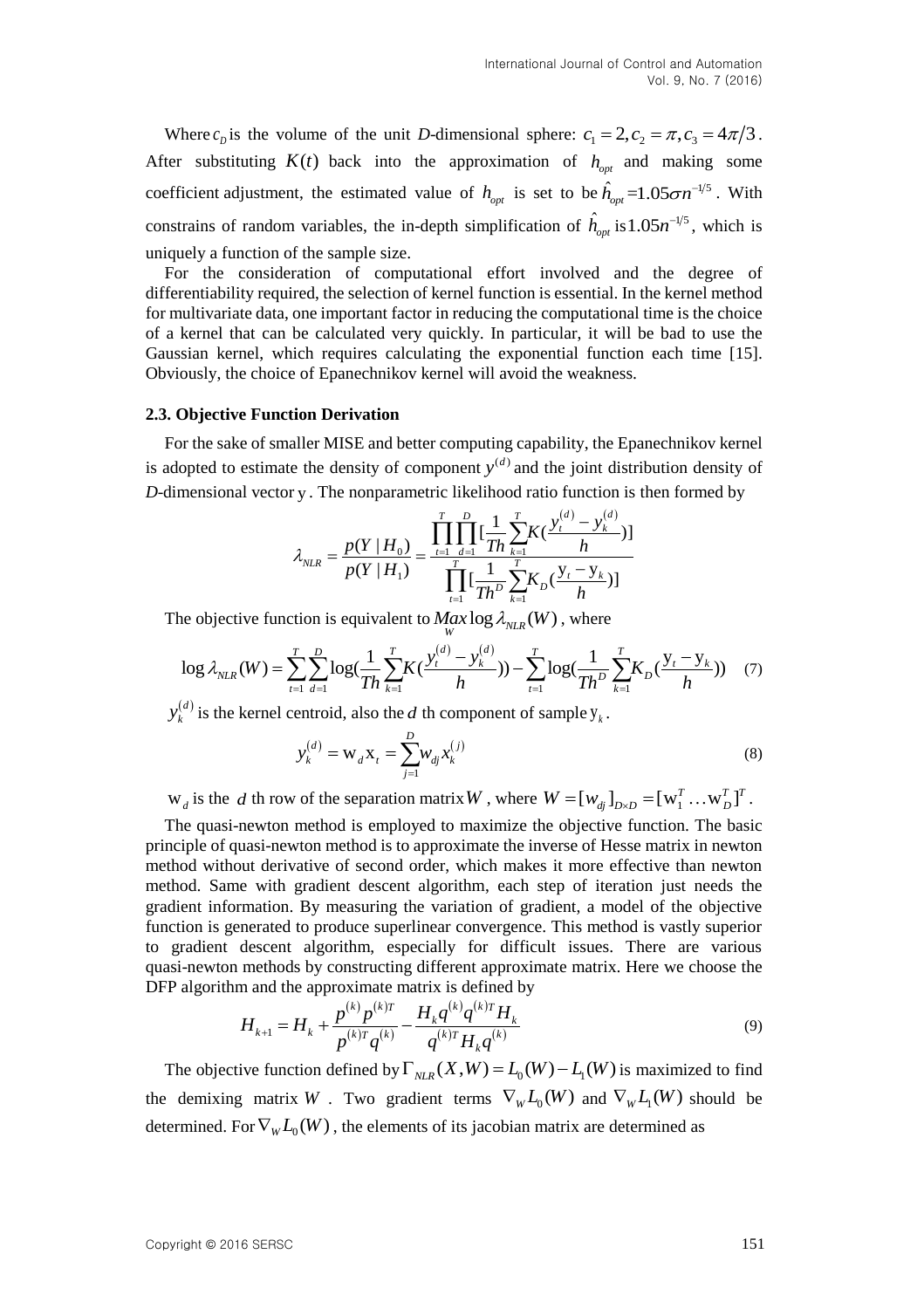Where  $c_p$  is the volume of the unit *D*-dimensional sphere:  $c_1 = 2$ ,  $c_2 = \pi$ ,  $c_3 = 4\pi/3$ . After substituting  $K(t)$  back into the approximation of  $h_{opt}$  and making some coefficient adjustment, the estimated value of  $h_{opt}$  is set to be  $\hat{h}_{opt} = 1.05 \sigma n^{-1/5}$ . With constrains of random variables, the in-depth simplification of  $\hat{h}_{opt}$  is  $1.05n^{-1/5}$ , which is uniquely a function of the sample size.

For the consideration of computational effort involved and the degree of differentiability required, the selection of kernel function is essential. In the kernel method for multivariate data, one important factor in reducing the computational time is the choice of a kernel that can be calculated very quickly. In particular, it will be bad to use the Gaussian kernel, which requires calculating the exponential function each time [\[15\].](#page-9-14) Obviously, the choice of Epanechnikov kernel will avoid the weakness.

#### **2.3. Objective Function Derivation**

For the sake of smaller MISE and better computing capability, the Epanechnikov kernel is adopted to estimate the density of component  $y^{(d)}$  and the joint distribution density of

*D*-dimensional vector y. The nonparametric likelihood ratio function is then formed by  
\n
$$
\lambda_{NLR} = \frac{p(Y|H_0)}{p(Y|H_1)} = \frac{\prod_{t=1}^{T} \prod_{d=1}^{D} [\frac{1}{Th} \sum_{k=1}^{T} K(\frac{y_t^{(d)} - y_k^{(d)}}{h})]}{\prod_{t=1}^{T} [\frac{1}{Th^D} \sum_{k=1}^{T} K_D(\frac{y_t - y_k}{h})]}
$$

The objective function is equivalent to  $\frac{Max \log \lambda_{NLR}(W)}{W}$ , where

$$
p(Y | H_1) \prod_{t=1}^{n} [\frac{1}{Th^D} \sum_{k=1}^{I} K_D(\frac{y_t - y_k}{h})]
$$
\nThe objective function is equivalent to  $Max \log \lambda_{NLR}(W)$ , where

\n
$$
\log \lambda_{NLR}(W) = \sum_{t=1}^{T} \sum_{d=1}^{D} \log(\frac{1}{Th} \sum_{k=1}^{T} K(\frac{y_t^{(d)} - y_k^{(d)}}{h})) - \sum_{t=1}^{T} \log(\frac{1}{Th^D} \sum_{k=1}^{T} K_D(\frac{y_t - y_k}{h}))
$$
\n(7)

*d*  $y_k^{(d)}$  is the kernel centroid, also the *d* th component of sample  $y_k$ .

$$
y_k^{(d)} = W_d X_t = \sum_{j=1}^{D} W_{dj} x_k^{(j)}
$$
(8)

 $W_d$  is the *d* th row of the separation matrix *W*, where  $W = [w_{dj}]_{D \times D} = [w_1^T ... w_D^T]^T$  $W = [w_{dj}]_{D \times D} = [w_1^T ... w_D^T]^T$ .

The quasi-newton method is employed to maximize the objective function. The basic principle of quasi-newton method is to approximate the inverse of Hesse matrix in newton method without derivative of second order, which makes it more effective than newton method. Same with gradient descent algorithm, each step of iteration just needs the gradient information. By measuring the variation of gradient, a model of the objective function is generated to produce superlinear convergence. This method is vastly superior to gradient descent algorithm, especially for difficult issues. There are various quasi-newton methods by constructing different approximate matrix. Here we choose the

$$
\text{DFP algorithm and the approximate matrix is defined by}
$$
\n
$$
H_{k+1} = H_k + \frac{p^{(k)}p^{(k)r}}{p^{(k)r}q^{(k)}} - \frac{H_k q^{(k)}q^{(k)r}}{q^{(k)r}H_k q^{(k)}}
$$
\n
$$
\tag{9}
$$

The objective function defined by  $\Gamma_{NLR}(X, W) = L_0(W) - L_1(W)$  is maximized to find the demixing matrix W . Two gradient terms  $\nabla_w L_0(W)$  and  $\nabla_w L_1(W)$  should be determined. For  $\nabla_{\overline{W}}L_0(W)$  , the elements of its [jacobian](javascript:void(0);) [matrix](javascript:void(0);) are determined as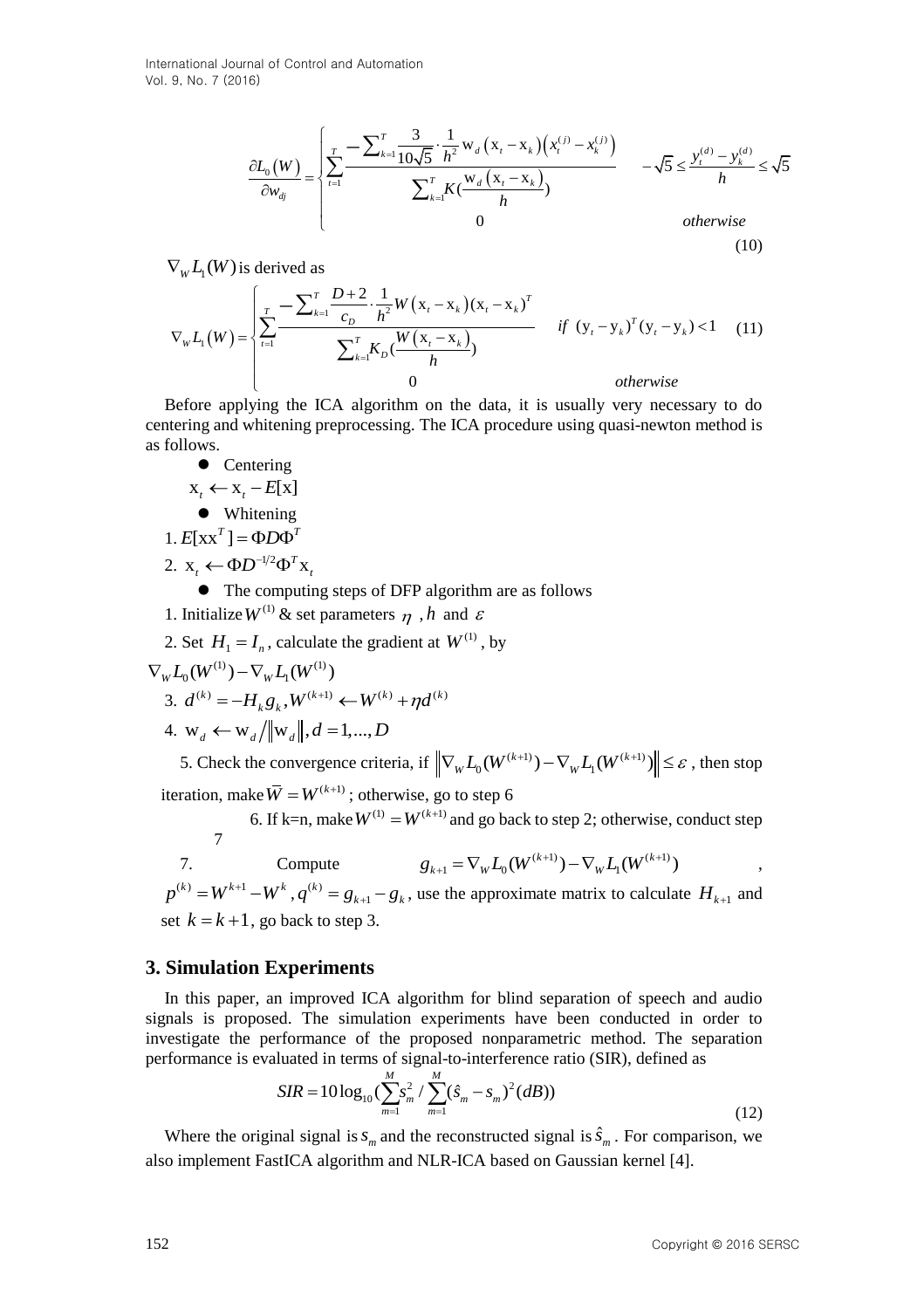International Journal of Control and Automation Vol. 9, No. 7 (2016)

and of Control and Automation

\n6)

\n
$$
\frac{\partial L_{0}(W)}{\partial w_{dj}} = \begin{cases}\n\sum_{t=1}^{T} \frac{1}{10\sqrt{5}} \cdot \frac{1}{h^{2}} w_{d} \left( x_{t} - x_{k} \right) \left( x_{t}^{(j)} - x_{k}^{(j)} \right) & -\sqrt{5} \leq \frac{y_{t}^{(d)} - y_{k}^{(d)}}{h} < \sqrt{5} \\
\sum_{k=1}^{T} K \left( \frac{w_{d} \left( x_{t} - x_{k} \right)}{h} \right) & 0 & \text{otherwise}\n\end{cases}
$$
\n(10)

$$
\nabla_{W}L_{1}(W)
$$
 is derived as

$$
\frac{\partial L_{\parallel}(W)}{\partial w_{q}} = \begin{cases}\n\frac{\partial L_{\parallel}(W)}{\partial w_{q}} - \frac{\partial L_{\parallel}(W)}{\partial w_{q}} - \frac{\partial L_{\parallel}(W)}{\partial w_{q}} + \frac{\partial L_{\parallel}(W)}{\partial w_{q}}\n\end{cases}
$$
\n
$$
\nabla_{W}L_{1}(W) \text{ is derived as} \qquad (10)
$$
\n
$$
\nabla_{W}L_{1}(W) = \begin{cases}\n\frac{1}{2} \sum_{i=1}^{T} \frac{D+2}{c_{0}} \cdot \frac{1}{h^{2}} W(x, -x_{i})(x, -x_{i})^{T} & \text{if } (y, -y_{i})^{T} (y, -y_{i}) < 1 \\ \n\frac{1}{2} \cdot \frac{1}{h^{2}} \cdot \frac{1}{h^{2}} \frac{1}{h^{2}} W(x, -x_{i}) & \text{if } (y, -y_{i})^{T} (y, -y_{i}) < 1 \\ \n\end{cases}
$$
\n
$$
\nabla_{W}L_{1}(W) = \begin{cases}\n\frac{1}{2} \sum_{i=1}^{T} \frac{D+2}{c_{0}} \cdot \frac{1}{h^{2}} W(x, -x_{i}) & \text{if } (y, -y_{i})^{T} (y, -y_{i}) < 1 \\ \n\end{cases}
$$
\n
$$
\nabla_{W}L_{1}(W) = \begin{cases}\n\text{Therefore applying the ICA algorithm on the data, it is usually very necessary to do\n
$$
\text{Otherwise}\n\end{cases}
$$
\n
$$
\text{Otherwise}\n\text{ Therefore, the following representation of the data, it is usually very necessary to do\n
$$
\text{I. Intiating}
$$
\n
$$
2. Set H_{1} = I_{0} \text{ column}
$$
\n
$$
2. Set H_{2} = \frac{1}{h^{2}} \cdot \frac{1}{h^{2}} \cdot \frac{1}{h^{2}} \cdot \frac{1}{h^{2}} \cdot \frac{1}{h^{2}} \cdot \frac{1}{h^{2}} \cdot \frac{1}{h^{2}} \cdot \frac{1}{h^{2}} \cdot \frac{1}{h^{2}} \cdot \frac{1}{h^{2}} \cdot \frac{1}{h^{2}} \cdot \frac{1}{h^{2}} \cdot \frac{1}{h^{2}} \cdot \frac{1}{h^{2}} \cdot \
$$
$$
$$

Before applying the ICA algorithm on the data, it is usually very necessary to do centering and whitening preprocessing. The ICA procedure using quasi-newton method is as follows.

- Centering
- $x_t \leftarrow x_t E[x]$

Whitening

1.  $E[xx^T] = \Phi D\Phi^T$ 

2.  $\mathbf{x}_t \leftarrow \Phi \mathbf{D}^{-1/2} \Phi^T \mathbf{x}_t$ 

The computing steps of DFP algorithm are as follows

- 1. Initialize  $W^{(1)}$  & set parameters  $\eta$ , h and  $\varepsilon$
- 2. Set  $H_1 = I_n$ , calculate the gradient at  $W^{(1)}$ , by

$$
\nabla_{W}L_{0}(W^{(1)}) - \nabla_{W}L_{1}(W^{(1)})
$$

$$
w L_0(W^{(k)}) - V_w L_1(W^{(k)})
$$
  
3.  $d^{(k)} = -H_k g_k$ ,  $W^{(k+1)} \leftarrow W^{(k)} + \eta d^{(k)}$ 

4. 
$$
\mathbf{w}_d \leftarrow \mathbf{w}_d / ||\mathbf{w}_d||, d = 1, ..., D
$$

5. Check the convergence criteria, if  $\left\| \nabla_{w} L_0(W^{(k+1)}) - \nabla_{w} L_1(W^{(k+1)}) \right\| \leq \varepsilon$ , then stop iteration, make  $\bar{W} = W^{(k+1)}$  ; otherwise, go to step 6

6. If k=n, make  $W^{(1)} = W^{(k+1)}$  and go back to step 2; otherwise, conduct step 7  $g_{k+1} = \nabla_W L_0(W^{(k+1)}) - \nabla_W L_1(W^{(k+1)})$  ,

7. Compute

 $p^{(k)} = W^{k+1} - W^k, q^{(k)}$ 1  $q^{(k)} = g_{k+1} - g_k$ , use the approximate matrix to calculate  $H_{k+1}$  and set  $k = k + 1$ , go back to step 3.

### **3. Simulation Experiments**

In this paper, an improved ICA algorithm for blind separation of speech and audio signals is proposed. The simulation experiments have been conducted in order to investigate the performance of the proposed nonparametric method. The separation

performance is evaluated in terms of signal-to-interference ratio (SIR), defined as  
\n
$$
SIR = 10\log_{10}(\sum_{m=1}^{M} s_m^2 / \sum_{m=1}^{M} (\hat{s}_m - s_m)^2 (dB))
$$
\n(12)

Where the original signal is  $s_m$  and the reconstructed signal is  $\hat{s}_m$ . For comparison, we also implement FastICA algorithm and NLR-ICA based on Gaussian kernel [\[4\].](#page-9-3)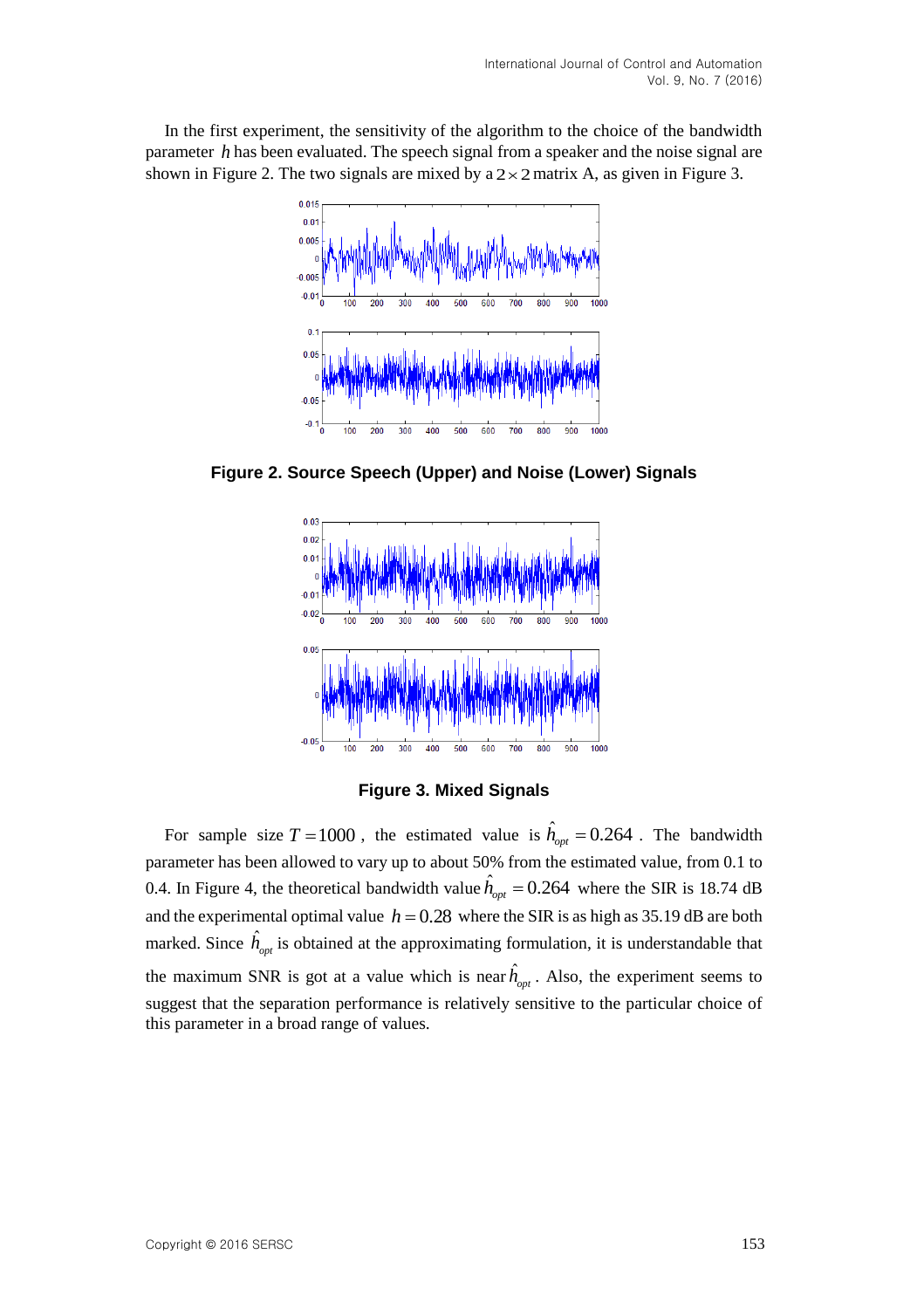In the first experiment, the sensitivity of the algorithm to the choice of the bandwidth parameter *h* has been evaluated. The speech signal from a speaker and the noise signal are shown in Figure 2. The two signals are mixed by  $a \, 2 \times 2$  matrix A, as given in Figure 3.



**Figure 2. Source Speech (Upper) and Noise (Lower) Signals**



**Figure 3. Mixed Signals**

For sample size  $T = 1000$ , the estimated value is  $\hat{h}_{opt} = 0.264$ . The bandwidth parameter has been allowed to vary up to about 50% from the estimated value, from 0.1 to 0.4. In Figure 4, the theoretical bandwidth value  $\hat{h}_{opt} = 0.264$  where the SIR is 18.74 dB and the experimental optimal value  $h = 0.28$  where the SIR is as high as 35.19 dB are both marked. Since  $\hat{h}_{opt}$  is obtained at the approximating formulation, it is understandable that the maximum SNR is got at a value which is near  $\hat{h}_{opt}$ . Also, the experiment seems to suggest that the separation performance is relatively sensitive to the particular choice of this parameter in a broad range of values.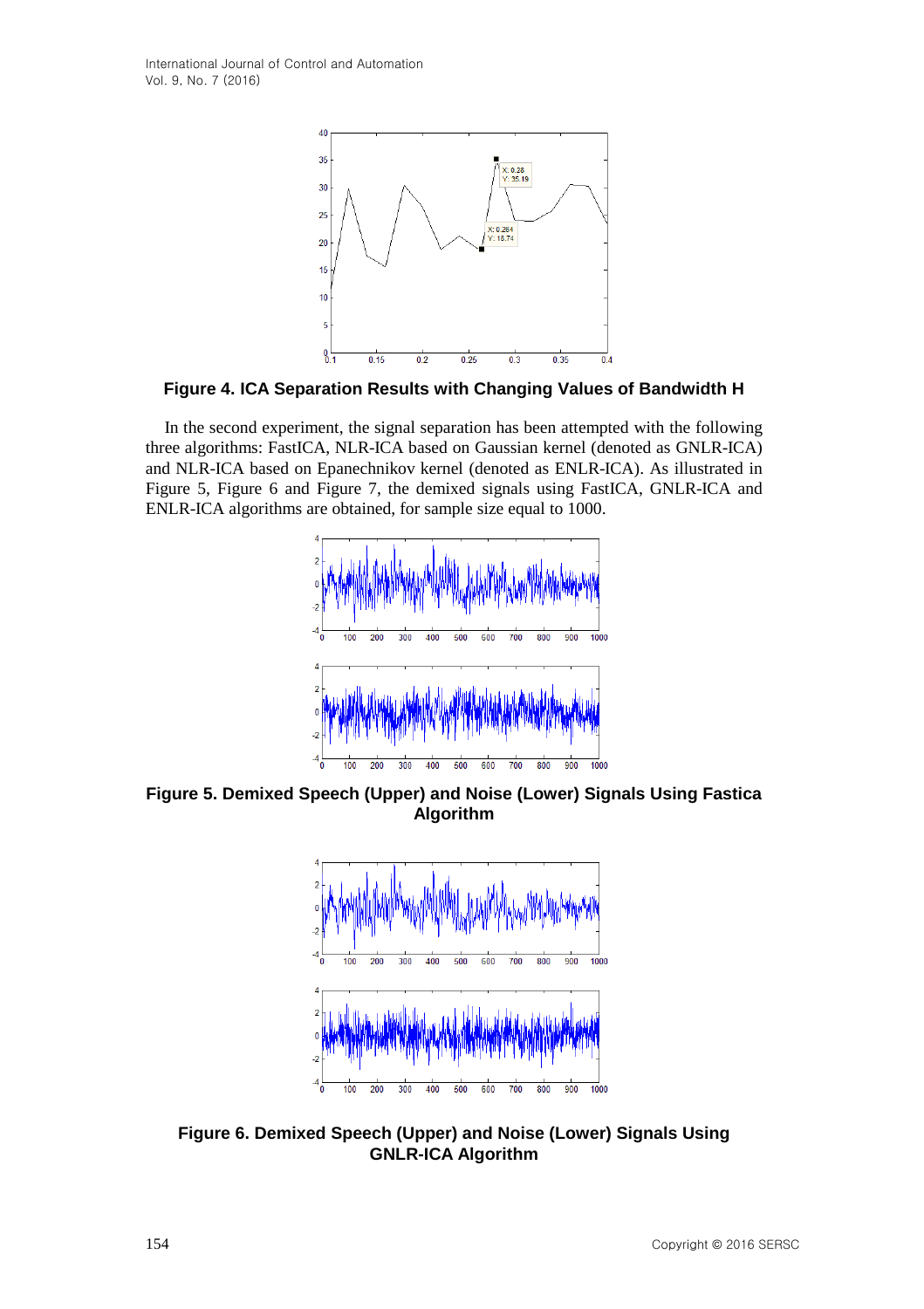

**Figure 4. ICA Separation Results with Changing Values of Bandwidth H**

In the second experiment, the signal separation has been attempted with the following three algorithms: FastICA, NLR-ICA based on Gaussian kernel (denoted as GNLR-ICA) and NLR-ICA based on Epanechnikov kernel (denoted as ENLR-ICA). As illustrated in Figure 5, Figure 6 and Figure 7, the demixed signals using FastICA, GNLR-ICA and ENLR-ICA algorithms are obtained, for sample size equal to 1000.



**Figure 5. Demixed Speech (Upper) and Noise (Lower) Signals Using Fastica Algorithm**



**Figure 6. Demixed Speech (Upper) and Noise (Lower) Signals Using GNLR-ICA Algorithm**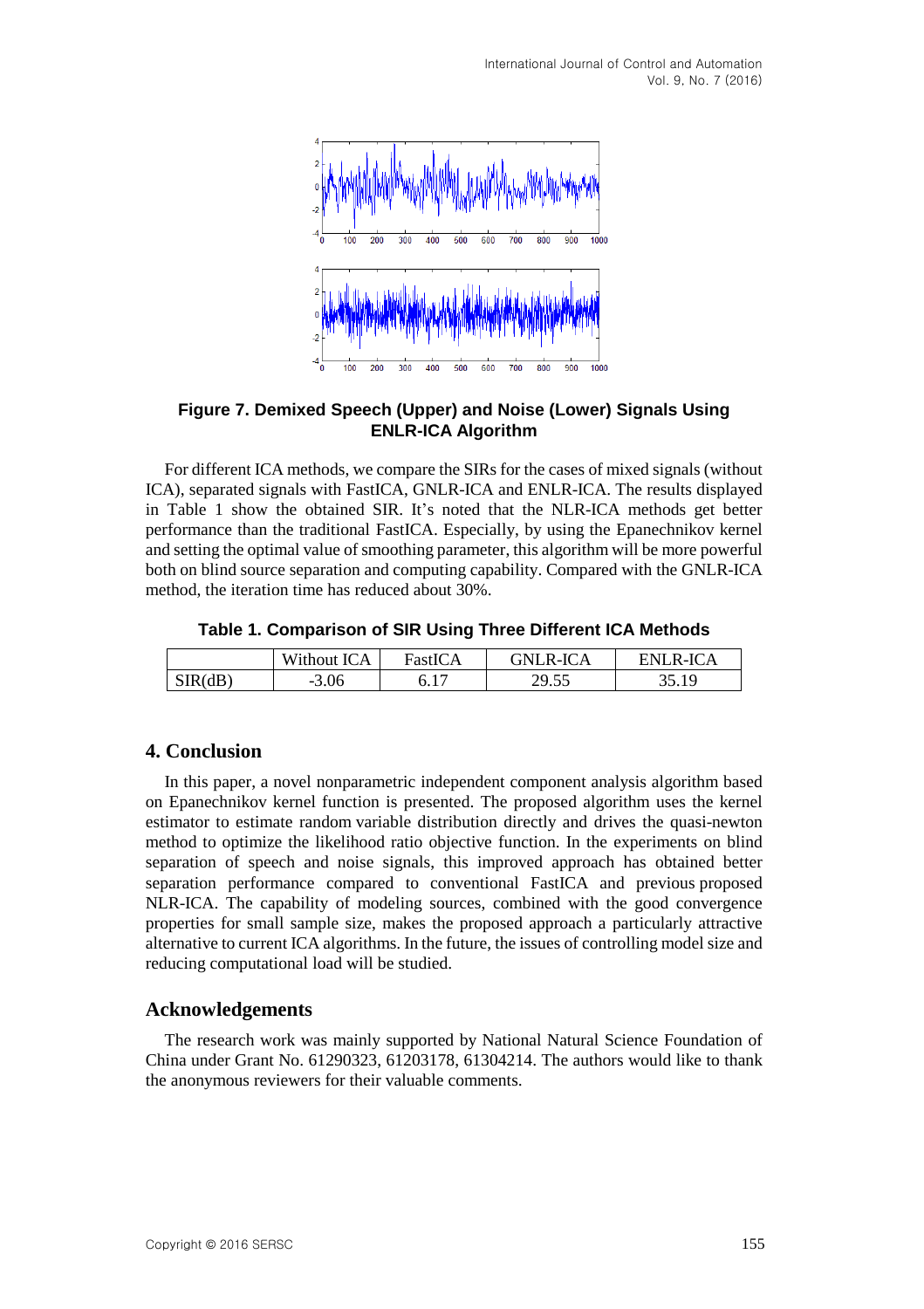International Journal of Control and Automation Vol. 9, No. 7 (2016)



**Figure 7. Demixed Speech (Upper) and Noise (Lower) Signals Using ENLR-ICA Algorithm**

For different ICA methods, we compare the SIRs for the cases of mixed signals (without ICA), separated signals with FastICA, GNLR-ICA and ENLR-ICA. The results displayed in Table 1 show the obtained SIR. It's noted that the NLR-ICA methods get better performance than the traditional FastICA. Especially, by using the Epanechnikov kernel and setting the optimal value of smoothing parameter, this algorithm will be more powerful both on blind source separation and computing capability. Compared with the GNLR-ICA method, the iteration time has reduced about 30%.

**Table 1. Comparison of SIR Using Three Different ICA Methods**

|         | Without ICA | $rastI C^{\,\prime}$ | GNLR-ICA | ENLR-ICA |
|---------|-------------|----------------------|----------|----------|
| SIR(dB) | 3.06<br>-   |                      | 29.55    | 25. IO   |

### **4. Conclusion**

In this paper, a novel nonparametric independent component analysis algorithm based on Epanechnikov kernel function is presented. The proposed algorithm uses the kernel estimator to estimate random variable distribution directly and drives the quasi-newton method to optimize the likelihood ratio objective function. In the experiments on blind separation of speech and noise signals, this improved approach has obtained better separation performance compared to conventional FastICA and previous proposed NLR-ICA. The capability of modeling sources, combined with the good convergence properties for small sample size, makes the proposed approach a particularly attractive alternative to current ICA algorithms. In the future, the issues of controlling model size and reducing computational load will be studied.

### **Acknowledgements**

The research work was mainly supported by National Natural Science Foundation of China under Grant No. 61290323, 61203178, 61304214. The authors would like to thank the anonymous reviewers for their valuable comments.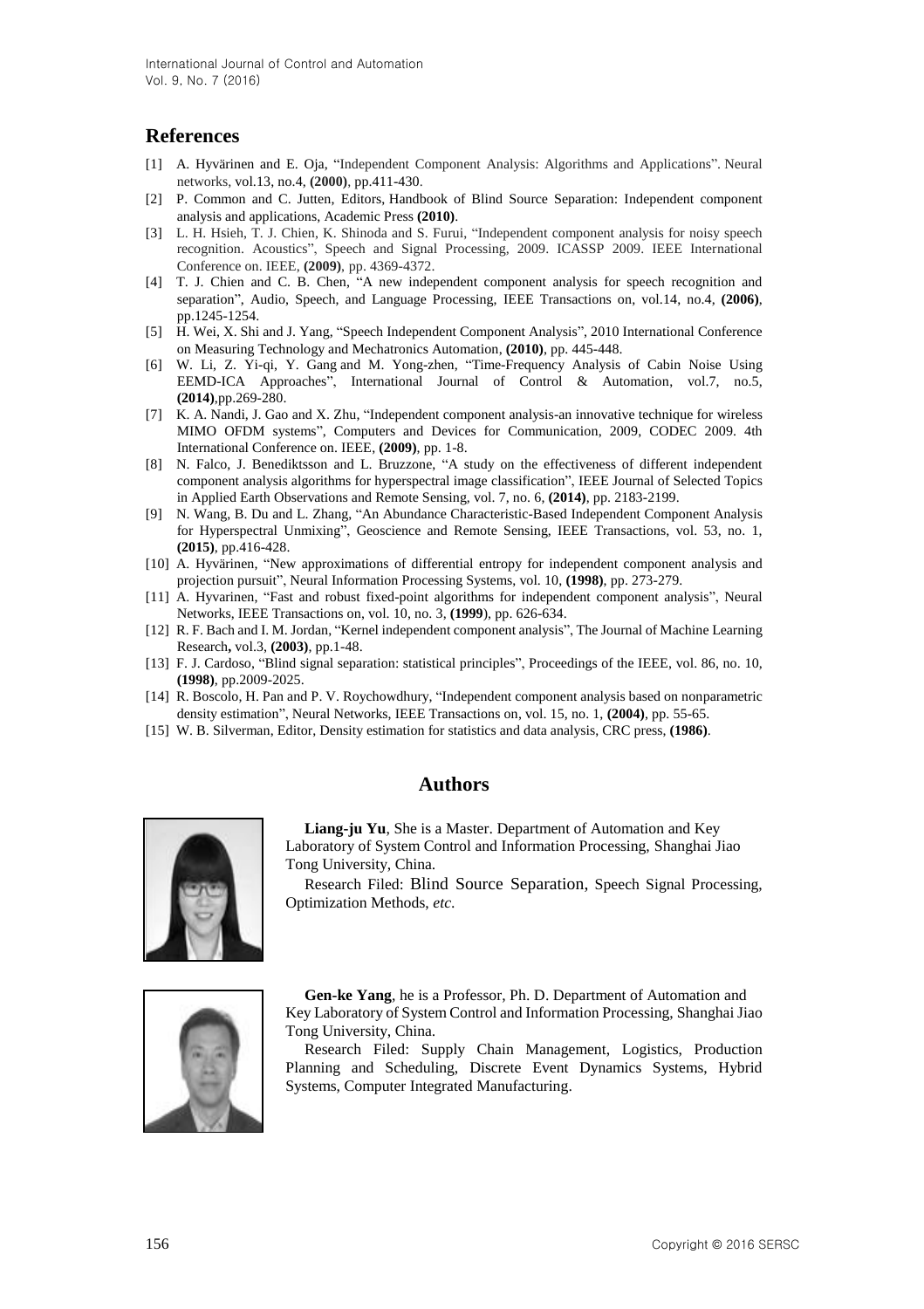# **References**

- <span id="page-9-0"></span>[1] A. Hyvärinen and E. Oja, "Independent Component Analysis: Algorithms and Applications". Neural networks, vol.13, no.4, **(2000)**, pp.411-430.
- <span id="page-9-1"></span>[2] P. Common and C. Jutten, Editors, Handbook of Blind Source Separation: Independent component analysis and applications, Academic Press **(2010)**.
- <span id="page-9-2"></span>[3] L. H. Hsieh, T. J. Chien, K. Shinoda and S. Furui, "Independent component analysis for noisy speech recognition. Acoustics", Speech and Signal Processing, 2009. ICASSP 2009. IEEE International Conference on. IEEE, **(2009)**, pp. 4369-4372.
- <span id="page-9-3"></span>[4] T. J. Chien and C. B. Chen, "A new independent component analysis for speech recognition and separation", Audio, Speech, and Language Processing, IEEE Transactions on, vol.14, no.4, **(2006)**, pp.1245-1254.
- <span id="page-9-4"></span>[5] H. Wei, X. Shi and J. Yang, "Speech Independent Component Analysis", 2010 International Conference on Measuring Technology and Mechatronics Automation, **(2010)**, pp. 445-448.
- <span id="page-9-5"></span>[6] W. Li, Z. Yi-qi, Y. Gang and M. Yong-zhen, "Time-Frequency Analysis of Cabin Noise Using EEMD-ICA Approaches", International Journal of Control & Automation, vol.7, no.5, **(2014)**,pp.269-280.
- <span id="page-9-6"></span>[7] K. A. Nandi, J. Gao and X. Zhu, "Independent component analysis-an innovative technique for wireless MIMO OFDM systems", Computers and Devices for Communication, 2009, CODEC 2009. 4th International Conference on. IEEE, **(2009)**, pp. 1-8.
- <span id="page-9-7"></span>[8] N. Falco, J. Benediktsson and L. Bruzzone, "A study on the effectiveness of different independent component analysis algorithms for hyperspectral image classification", IEEE Journal of Selected Topics in Applied Earth Observations and Remote Sensing, vol. 7, no. 6, **(2014)**, pp. 2183-2199.
- <span id="page-9-8"></span>[9] N. Wang, B. Du and L. Zhang, "An Abundance Characteristic-Based Independent Component Analysis for Hyperspectral Unmixing", [Geoscience and Remote Sensing, IEEE Transactions,](http://ieeexplore.ieee.org/xpl/RecentIssue.jsp?punumber=36) vol. 53, no. 1, **(2015)**, pp.416-428.
- <span id="page-9-9"></span>[10] A. Hyvärinen, "New approximations of differential entropy for independent component analysis and projection pursuit", Neural Information Processing Systems, vol. 10, **(1998)**, pp. 273-279.
- <span id="page-9-10"></span>[11] A. Hyvarinen, "Fast and robust fixed-point algorithms for independent component analysis", Neural Networks, IEEE Transactions on, vol. 10, no. 3, **(1999**), pp. 626-634.
- <span id="page-9-11"></span>[12] R. F. Bach and I. M. Jordan, "Kernel independent component analysis", The Journal of Machine Learning Research**,** vol.3, **(2003)**, pp.1-48.
- <span id="page-9-12"></span>[13] F. J. Cardoso, "Blind signal separation: statistical principles", Proceedings of the IEEE, vol. 86, no. 10, **(1998)**, pp.2009-2025.
- <span id="page-9-13"></span>[14] R. Boscolo, H. Pan and P. V. Roychowdhury, "Independent component analysis based on nonparametric density estimation", Neural Networks, IEEE Transactions on, vol. 15, no. 1, **(2004)**, pp. 55-65.
- <span id="page-9-14"></span>[15] W. B. Silverman, Editor, Density estimation for statistics and data analysis, CRC press, **(1986)**.

### **Authors**



**Liang-ju Yu**, She is a Master. Department of Automation and Key Laboratory of System Control and Information Processing, Shanghai Jiao Tong University, China.

Research Filed: Blind Source Separation, Speech Signal Processing, Optimization Methods, *etc*.



**Gen-ke Yang**, he is a Professor, Ph. D. Department of Automation and Key Laboratory of System Control and Information Processing, Shanghai Jiao Tong University, China.

Research Filed: Supply Chain Management, Logistics, Production Planning and Scheduling, Discrete Event Dynamics Systems, Hybrid Systems, Computer Integrated Manufacturing.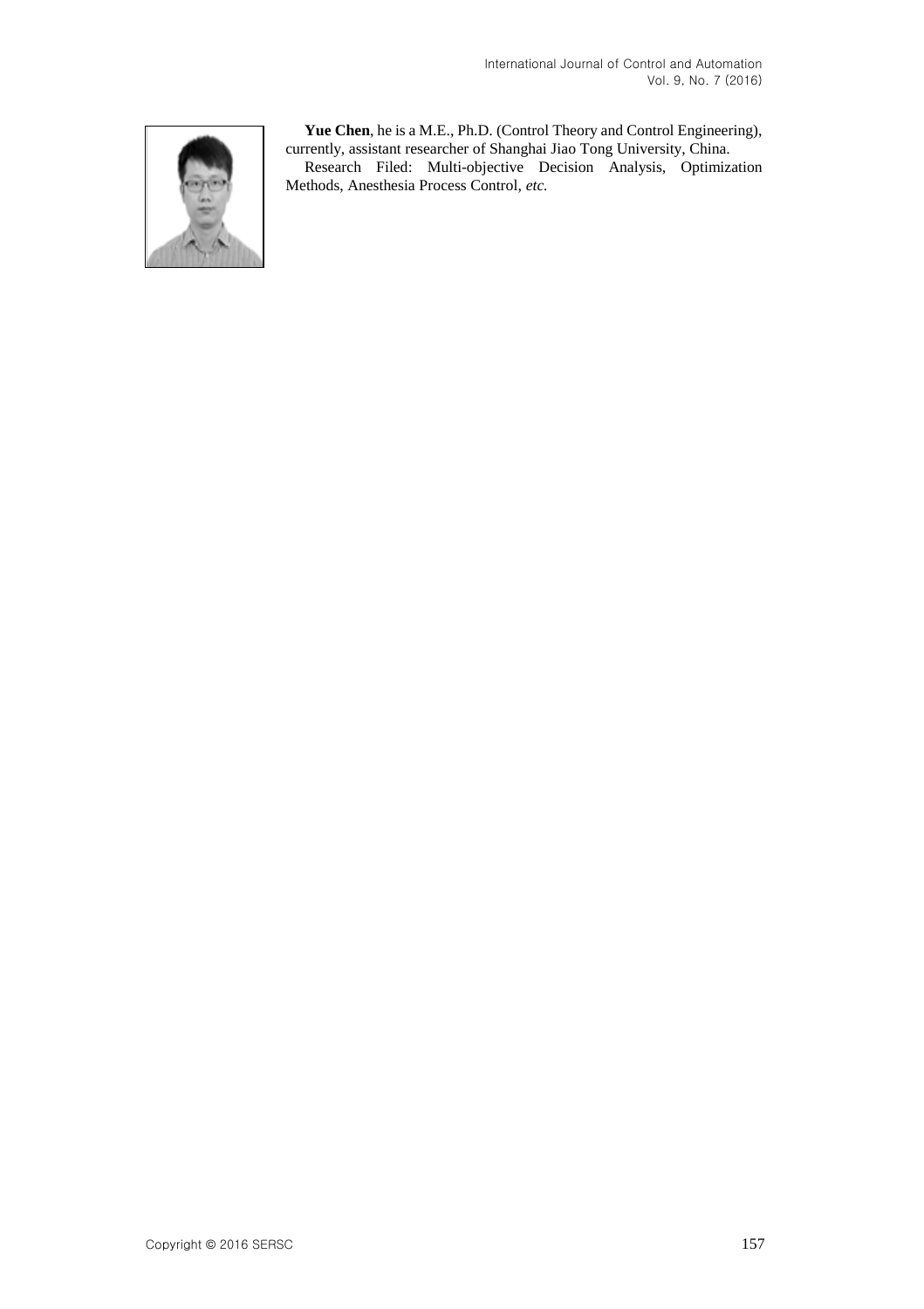

**Yue Chen**, he is a M.E., Ph.D. (Control Theory and Control Engineering), currently, assistant researcher of Shanghai Jiao Tong University, China.

Research Filed: Multi-objective Decision Analysis, Optimization Methods, Anesthesia Process Control, *etc.*